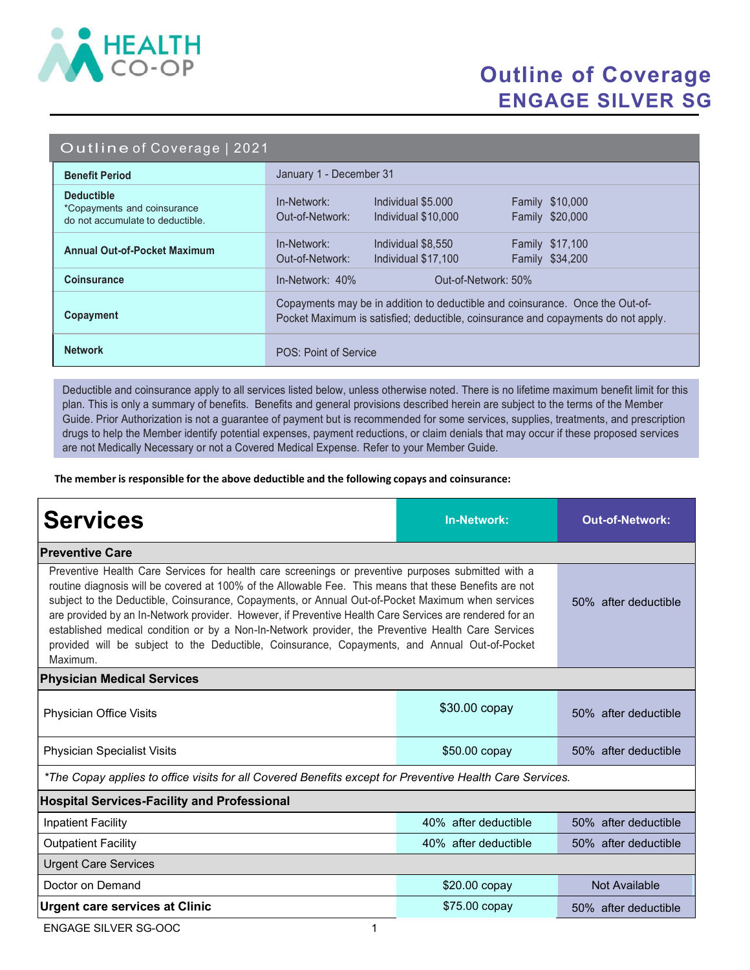

## Outline of Coverage ENGAGE SILVER SG

#### Outline of Coverage | 2021

| <b>Benefit Period</b>                                                                | January 1 - December 31                                                                                                                                            |  |  |
|--------------------------------------------------------------------------------------|--------------------------------------------------------------------------------------------------------------------------------------------------------------------|--|--|
| <b>Deductible</b><br>*Copayments and coinsurance<br>do not accumulate to deductible. | Individual \$5,000<br><b>Family \$10,000</b><br>In-Network:<br>Family \$20,000<br>Out-of-Network:<br>Individual \$10,000                                           |  |  |
| <b>Annual Out-of-Pocket Maximum</b>                                                  | In-Network:<br><b>Family \$17,100</b><br>Individual \$8,550<br>Family \$34,200<br>Out-of-Network:<br>Individual \$17,100                                           |  |  |
| <b>Coinsurance</b>                                                                   | $In-Network: 40%$<br>Out-of-Network: 50%                                                                                                                           |  |  |
| Copayment                                                                            | Copayments may be in addition to deductible and coinsurance. Once the Out-of-<br>Pocket Maximum is satisfied; deductible, coinsurance and copayments do not apply. |  |  |
| <b>Network</b>                                                                       | POS: Point of Service                                                                                                                                              |  |  |

Deductible and coinsurance apply to all services listed below, unless otherwise noted. There is no lifetime maximum benefit limit for this plan. This is only a summary of benefits. Benefits and general provisions described herein are subject to the terms of the Member Guide. Prior Authorization is not a guarantee of payment but is recommended for some services, supplies, treatments, and prescription drugs to help the Member identify potential expenses, payment reductions, or claim denials that may occur if these proposed services are not Medically Necessary or not a Covered Medical Expense. Refer to your Member Guide.

The member is responsible for the above deductible and the following copays and coinsurance:

| <b>Services</b>                                                                                                                                                                                                                                                                                                                                                                                                                                                                                                                                                                                                                                 | <b>In-Network:</b>   | <b>Out-of-Network:</b> |  |  |
|-------------------------------------------------------------------------------------------------------------------------------------------------------------------------------------------------------------------------------------------------------------------------------------------------------------------------------------------------------------------------------------------------------------------------------------------------------------------------------------------------------------------------------------------------------------------------------------------------------------------------------------------------|----------------------|------------------------|--|--|
| <b>Preventive Care</b>                                                                                                                                                                                                                                                                                                                                                                                                                                                                                                                                                                                                                          |                      |                        |  |  |
| Preventive Health Care Services for health care screenings or preventive purposes submitted with a<br>routine diagnosis will be covered at 100% of the Allowable Fee. This means that these Benefits are not<br>subject to the Deductible, Coinsurance, Copayments, or Annual Out-of-Pocket Maximum when services<br>are provided by an In-Network provider. However, if Preventive Health Care Services are rendered for an<br>established medical condition or by a Non-In-Network provider, the Preventive Health Care Services<br>provided will be subject to the Deductible, Coinsurance, Copayments, and Annual Out-of-Pocket<br>Maximum. | 50% after deductible |                        |  |  |
| <b>Physician Medical Services</b>                                                                                                                                                                                                                                                                                                                                                                                                                                                                                                                                                                                                               |                      |                        |  |  |
| Physician Office Visits                                                                                                                                                                                                                                                                                                                                                                                                                                                                                                                                                                                                                         | \$30.00 copay        | 50% after deductible   |  |  |
| <b>Physician Specialist Visits</b>                                                                                                                                                                                                                                                                                                                                                                                                                                                                                                                                                                                                              | $$50.00$ copay       | 50% after deductible   |  |  |
| *The Copay applies to office visits for all Covered Benefits except for Preventive Health Care Services.                                                                                                                                                                                                                                                                                                                                                                                                                                                                                                                                        |                      |                        |  |  |
| <b>Hospital Services-Facility and Professional</b>                                                                                                                                                                                                                                                                                                                                                                                                                                                                                                                                                                                              |                      |                        |  |  |
| <b>Inpatient Facility</b>                                                                                                                                                                                                                                                                                                                                                                                                                                                                                                                                                                                                                       | 40% after deductible | 50% after deductible   |  |  |
| <b>Outpatient Facility</b>                                                                                                                                                                                                                                                                                                                                                                                                                                                                                                                                                                                                                      | 40% after deductible | 50% after deductible   |  |  |
| <b>Urgent Care Services</b>                                                                                                                                                                                                                                                                                                                                                                                                                                                                                                                                                                                                                     |                      |                        |  |  |
| Doctor on Demand                                                                                                                                                                                                                                                                                                                                                                                                                                                                                                                                                                                                                                | \$20.00 copay        | Not Available          |  |  |
| <b>Urgent care services at Clinic</b>                                                                                                                                                                                                                                                                                                                                                                                                                                                                                                                                                                                                           | \$75.00 copay        | 50% after deductible   |  |  |

ENGAGE SILVER SG-OOC 1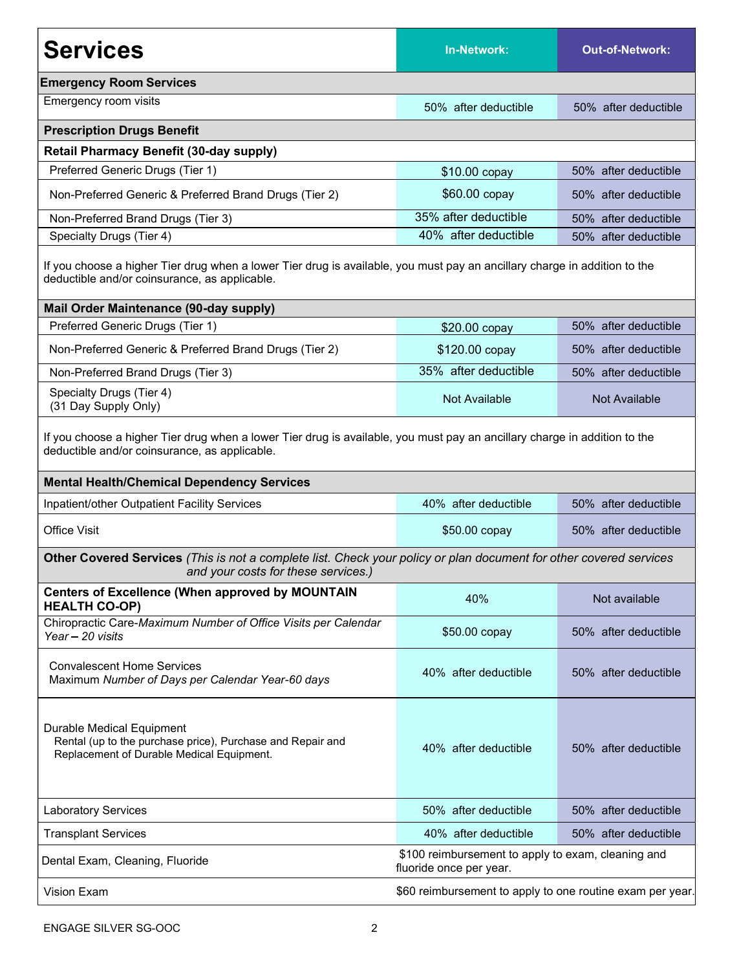| <b>Services</b>                                                                                                                                                                                                                 | <b>In-Network:</b>                                                            | <b>Out-of-Network:</b> |  |  |
|---------------------------------------------------------------------------------------------------------------------------------------------------------------------------------------------------------------------------------|-------------------------------------------------------------------------------|------------------------|--|--|
| <b>Emergency Room Services</b>                                                                                                                                                                                                  |                                                                               |                        |  |  |
| Emergency room visits                                                                                                                                                                                                           | 50% after deductible                                                          | 50% after deductible   |  |  |
| <b>Prescription Drugs Benefit</b>                                                                                                                                                                                               |                                                                               |                        |  |  |
| <b>Retail Pharmacy Benefit (30-day supply)</b>                                                                                                                                                                                  |                                                                               |                        |  |  |
| Preferred Generic Drugs (Tier 1)                                                                                                                                                                                                | \$10.00 copay                                                                 | 50% after deductible   |  |  |
| Non-Preferred Generic & Preferred Brand Drugs (Tier 2)                                                                                                                                                                          | \$60.00 copay                                                                 | 50% after deductible   |  |  |
| Non-Preferred Brand Drugs (Tier 3)                                                                                                                                                                                              | 35% after deductible                                                          | 50% after deductible   |  |  |
| Specialty Drugs (Tier 4)                                                                                                                                                                                                        | 40% after deductible                                                          | 50% after deductible   |  |  |
| If you choose a higher Tier drug when a lower Tier drug is available, you must pay an ancillary charge in addition to the<br>deductible and/or coinsurance, as applicable.                                                      |                                                                               |                        |  |  |
| <b>Mail Order Maintenance (90-day supply)</b>                                                                                                                                                                                   |                                                                               |                        |  |  |
| Preferred Generic Drugs (Tier 1)                                                                                                                                                                                                | \$20.00 copay                                                                 | 50% after deductible   |  |  |
| Non-Preferred Generic & Preferred Brand Drugs (Tier 2)                                                                                                                                                                          | \$120.00 copay                                                                | 50% after deductible   |  |  |
| Non-Preferred Brand Drugs (Tier 3)                                                                                                                                                                                              | 35% after deductible                                                          | 50% after deductible   |  |  |
| Specialty Drugs (Tier 4)<br>(31 Day Supply Only)                                                                                                                                                                                | Not Available                                                                 | Not Available          |  |  |
| If you choose a higher Tier drug when a lower Tier drug is available, you must pay an ancillary charge in addition to the<br>deductible and/or coinsurance, as applicable.<br><b>Mental Health/Chemical Dependency Services</b> |                                                                               |                        |  |  |
| Inpatient/other Outpatient Facility Services                                                                                                                                                                                    | 40% after deductible                                                          | 50% after deductible   |  |  |
| <b>Office Visit</b>                                                                                                                                                                                                             | \$50.00 copay                                                                 | 50% after deductible   |  |  |
| Other Covered Services (This is not a complete list. Check your policy or plan document for other covered services<br>and your costs for these services.)                                                                       |                                                                               |                        |  |  |
| <b>Centers of Excellence (When approved by MOUNTAIN</b><br><b>HEALTH CO-OP)</b>                                                                                                                                                 | 40%                                                                           | Not available          |  |  |
| Chiropractic Care-Maximum Number of Office Visits per Calendar<br>Year - 20 visits                                                                                                                                              | \$50.00 copay                                                                 | 50% after deductible   |  |  |
| <b>Convalescent Home Services</b><br>Maximum Number of Days per Calendar Year-60 days                                                                                                                                           | 40% after deductible                                                          | 50% after deductible   |  |  |
| Durable Medical Equipment<br>Rental (up to the purchase price), Purchase and Repair and<br>Replacement of Durable Medical Equipment.                                                                                            | 40% after deductible                                                          | 50% after deductible   |  |  |
| <b>Laboratory Services</b>                                                                                                                                                                                                      | 50% after deductible                                                          | 50% after deductible   |  |  |
| <b>Transplant Services</b>                                                                                                                                                                                                      | 40% after deductible                                                          | 50% after deductible   |  |  |
| Dental Exam, Cleaning, Fluoride                                                                                                                                                                                                 | \$100 reimbursement to apply to exam, cleaning and<br>fluoride once per year. |                        |  |  |
| <b>Vision Exam</b>                                                                                                                                                                                                              | \$60 reimbursement to apply to one routine exam per year.                     |                        |  |  |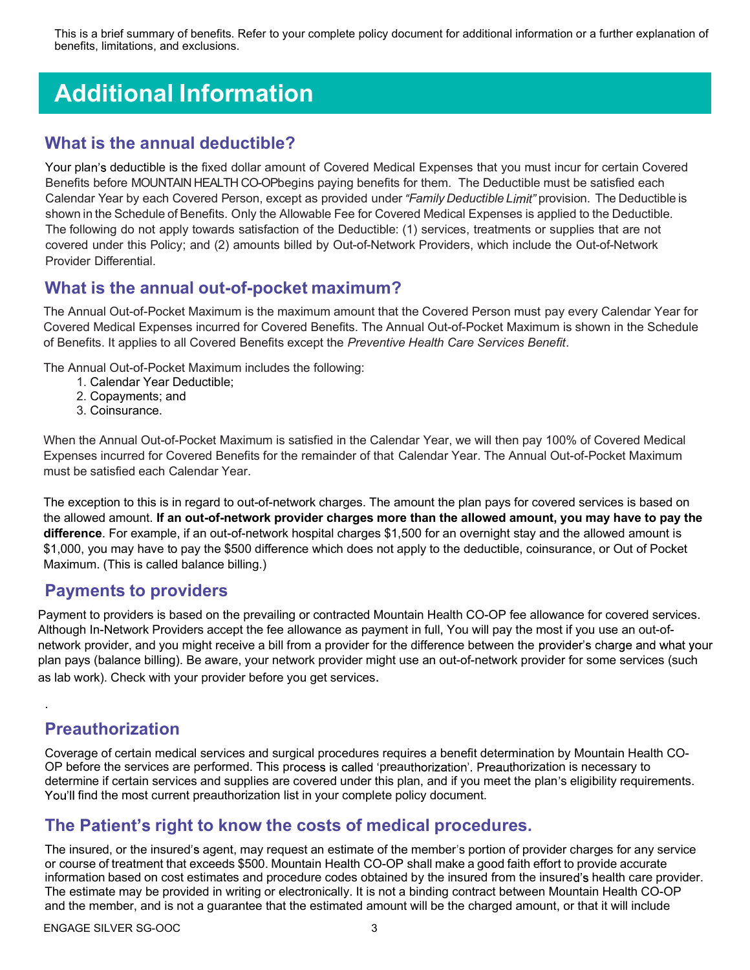This is a brief summary of benefits. Refer to your complete policy document for additional information or a further explanation of benefits, limitations, and exclusions.

# Additional Information

#### What is the annual deductible?

Your plan's deductible is the fixed dollar amount of Covered Medical Expenses that you must incur for certain Covered Benefits before MOUNTAIN HEALTH CO-OPbegins paying benefits for them. The Deductible must be satisfied each Calendar Year by each Covered Person, except as provided under "Family Deductible Limit" provision. The Deductible is shown in the Schedule of Benefits. Only the Allowable Fee for Covered Medical Expenses is applied to the Deductible. The following do not apply towards satisfaction of the Deductible: (1) services, treatments or supplies that are not covered under this Policy; and (2) amounts billed by Out-of-Network Providers, which include the Out-of-Network Provider Differential.

#### What is the annual out-of-pocket maximum?

The Annual Out-of-Pocket Maximum is the maximum amount that the Covered Person must pay every Calendar Year for Covered Medical Expenses incurred for Covered Benefits. The Annual Out-of-Pocket Maximum is shown in the Schedule of Benefits. It applies to all Covered Benefits except the Preventive Health Care Services Benefit.

The Annual Out-of-Pocket Maximum includes the following:

- 1. Calendar Year Deductible;
- 2. Copayments; and
- 3. Coinsurance.

When the Annual Out-of-Pocket Maximum is satisfied in the Calendar Year, we will then pay 100% of Covered Medical Expenses incurred for Covered Benefits for the remainder of that Calendar Year. The Annual Out-of-Pocket Maximum must be satisfied each Calendar Year.

The exception to this is in regard to out-of-network charges. The amount the plan pays for covered services is based on the allowed amount. If an out-of-network provider charges more than the allowed amount, you may have to pay the difference. For example, if an out-of-network hospital charges \$1,500 for an overnight stay and the allowed amount is \$1,000, you may have to pay the \$500 difference which does not apply to the deductible, coinsurance, or Out of Pocket Maximum. (This is called balance billing.)

#### Payments to providers

Payment to providers is based on the prevailing or contracted Mountain Health CO-OP fee allowance for covered services. Although In-Network Providers accept the fee allowance as payment in full, You will pay the most if you use an out-ofnetwork provider, and you might receive a bill from a provider for the difference between the provider's charge and what your plan pays (balance billing). Be aware, your network provider might use an out-of-network provider for some services (such as lab work). Check with your provider before you get services.

### Preauthorization

.

Coverage of certain medical services and surgical procedures requires a benefit determination by Mountain Health CO-OP before the services are performed. This process is called 'preauthorization'. Preauthorization is necessary to determine if certain services and supplies are covered under this plan, and if you meet the plan's eligibility requirements. You'll find the most current preauthorization list in your complete policy document.

#### The Patient's right to know the costs of medical procedures.

The insured, or the insured's agent, may request an estimate of the member's portion of provider charges for any service or course of treatment that exceeds \$500. Mountain Health CO-OP shall make a good faith effort to provide accurate information based on cost estimates and procedure codes obtained by the insured from the insured's health care provider. The estimate may be provided in writing or electronically. It is not a binding contract between Mountain Health CO-OP and the member, and is not a guarantee that the estimated amount will be the charged amount, or that it will include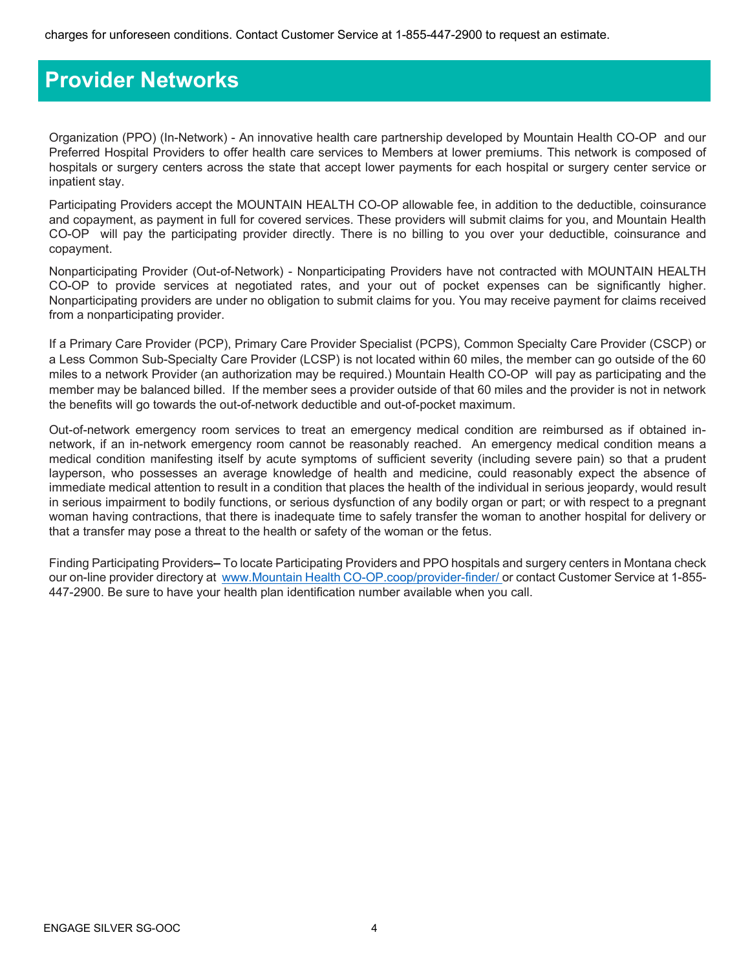### Provider Networks

Organization (PPO) (In-Network) - An innovative health care partnership developed by Mountain Health CO-OP and our Preferred Hospital Providers to offer health care services to Members at lower premiums. This network is composed of hospitals or surgery centers across the state that accept lower payments for each hospital or surgery center service or inpatient stay.

Participating Providers accept the MOUNTAIN HEALTH CO-OP allowable fee, in addition to the deductible, coinsurance and copayment, as payment in full for covered services. These providers will submit claims for you, and Mountain Health CO-OP will pay the participating provider directly. There is no billing to you over your deductible, coinsurance and copayment.

Nonparticipating Provider (Out-of-Network) - Nonparticipating Providers have not contracted with MOUNTAIN HEALTH CO-OP to provide services at negotiated rates, and your out of pocket expenses can be significantly higher. Nonparticipating providers are under no obligation to submit claims for you. You may receive payment for claims received from a nonparticipating provider.

If a Primary Care Provider (PCP), Primary Care Provider Specialist (PCPS), Common Specialty Care Provider (CSCP) or a Less Common Sub-Specialty Care Provider (LCSP) is not located within 60 miles, the member can go outside of the 60 miles to a network Provider (an authorization may be required.) Mountain Health CO-OP will pay as participating and the member may be balanced billed. If the member sees a provider outside of that 60 miles and the provider is not in network the benefits will go towards the out-of-network deductible and out-of-pocket maximum.

Out-of-network emergency room services to treat an emergency medical condition are reimbursed as if obtained innetwork, if an in-network emergency room cannot be reasonably reached. An emergency medical condition means a medical condition manifesting itself by acute symptoms of sufficient severity (including severe pain) so that a prudent layperson, who possesses an average knowledge of health and medicine, could reasonably expect the absence of immediate medical attention to result in a condition that places the health of the individual in serious jeopardy, would result in serious impairment to bodily functions, or serious dysfunction of any bodily organ or part; or with respect to a pregnant woman having contractions, that there is inadequate time to safely transfer the woman to another hospital for delivery or that a transfer may pose a threat to the health or safety of the woman or the fetus.

Finding Participating Providers-To locate Participating Providers and PPO hospitals and surgery centers in Montana check our on-line provider directory at www.Mountain Health CO-OP.coop/provider-finder/ or contact Customer Service at 1-855-447-2900. Be sure to have your health plan identification number available when you call.